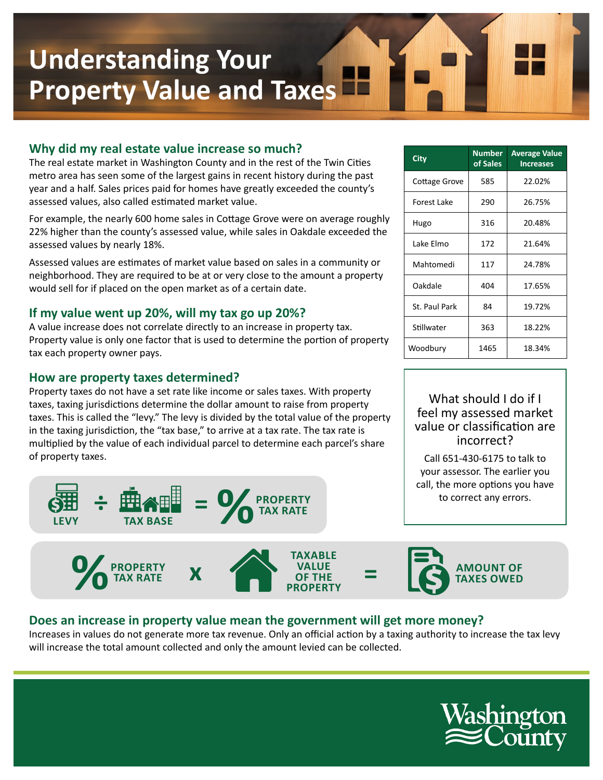# **Understanding Your Property Value and Taxes**

## **Why did my real estate value increase so much?**

The real estate market in Washington County and in the rest of the Twin Cities metro area has seen some of the largest gains in recent history during the past year and a half. Sales prices paid for homes have greatly exceeded the county's assessed values, also called estimated market value.

For example, the nearly 600 home sales in Cottage Grove were on average roughly 22% higher than the county's assessed value, while sales in Oakdale exceeded the assessed values by nearly 18%.

Assessed values are estimates of market value based on sales in a community or neighborhood. They are required to be at or very close to the amount a property would sell for if placed on the open market as of a certain date.

### **If my value went up 20%, will my tax go up 20%?**

A value increase does not correlate directly to an increase in property tax. Property value is only one factor that is used to determine the portion of property tax each property owner pays.

#### **How are property taxes determined?**

Property taxes do not have a set rate like income or sales taxes. With property taxes, taxing jurisdictions determine the dollar amount to raise from property taxes. This is called the "levy." The levy is divided by the total value of the property in the taxing jurisdiction, the "tax base," to arrive at a tax rate. The tax rate is multiplied by the value of each individual parcel to determine each parcel's share of property taxes.



| City          | <b>Number</b><br>of Sales | <b>Average Value</b><br><b>Increases</b> |
|---------------|---------------------------|------------------------------------------|
| Cottage Grove | 585                       | 22.02%                                   |
| Forest Lake   | 290                       | 26.75%                                   |
| Hugo          | 316                       | 20.48%                                   |
| Lake Elmo     | 172                       | 21.64%                                   |
| Mahtomedi     | 117                       | 24.78%                                   |
| Oakdale       | 404                       | 17.65%                                   |
| St. Paul Park | 84                        | 19.72%                                   |
| Stillwater    | 363                       | 18.22%                                   |
| Woodbury      | 1465                      | 18.34%                                   |

### What should I do if I feel my assessed market value or classification are incorrect?

Call 651-430-6175 to talk to your assessor. The earlier you call, the more options you have to correct any errors.



### **Does an increase in property value mean the government will get more money?**

Increases in values do not generate more tax revenue. Only an official action by a taxing authority to increase the tax levy will increase the total amount collected and only the amount levied can be collected.